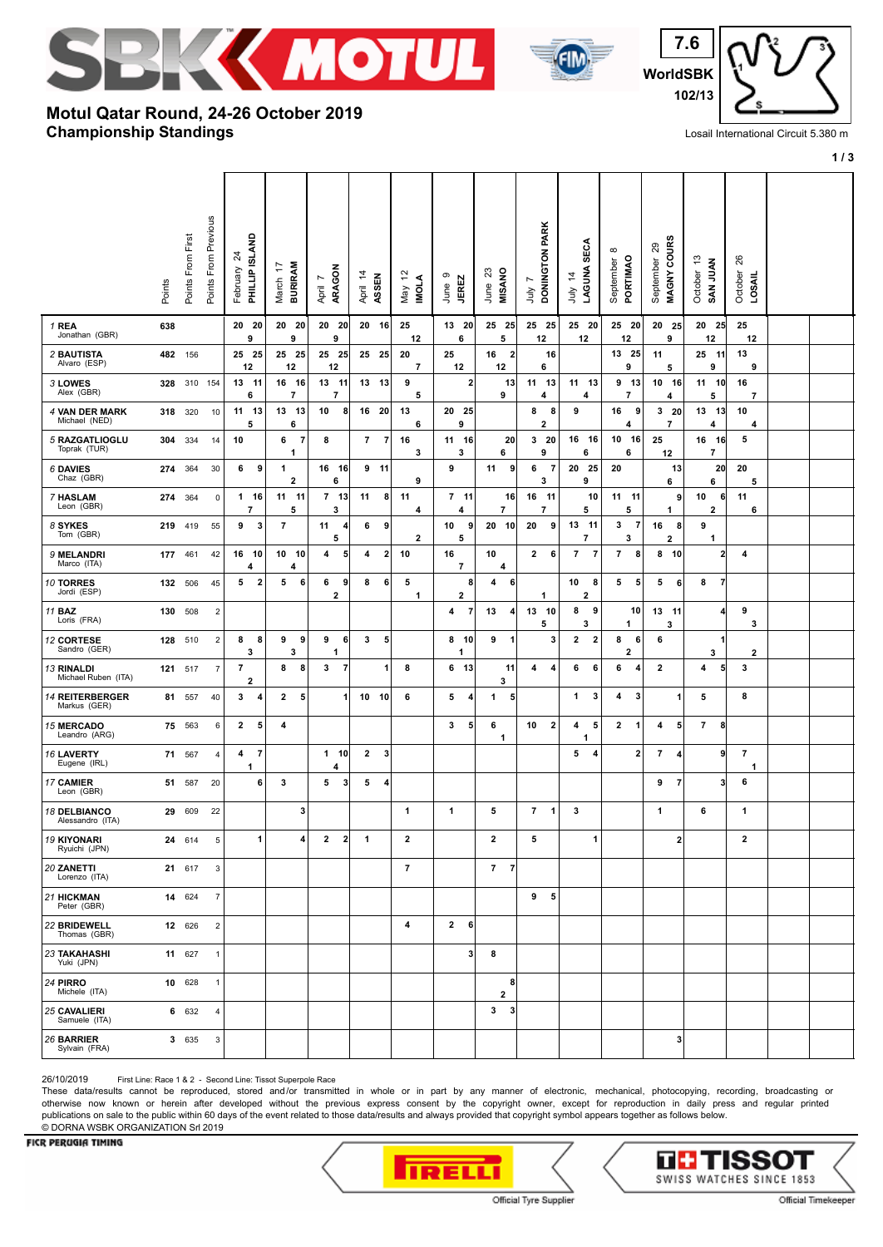



**WorldSBK 7.6 102/13**

## **Championship Standings Motul Qatar Round, 24-26 October 2019**

Losail International Circuit 5.380 m

**1 / 3**

|                                          | Points | Points From First | Points From Previous | PHILLIP ISLAND<br>24<br>February          | <b>BURIRAM</b><br>$\overline{z}$<br>March | ARAGON<br>$\overline{ }$<br>April | April 14<br>ASSEN                | $\tilde{c}$<br><b>MOLA</b><br>Vay | G<br><b>JEREZ</b><br>June      | June 23<br>MISANO              | PARK<br><b>DONINGTON</b><br>L<br>Š | LAGUNA SECA<br>4<br>ÈΓ       | $\infty$<br>PORTIMAO<br>September | MAGNY COURS<br>$\boldsymbol{\mathsf{S}}$<br>September | م.<br>SAN JUAN<br>October         | 26<br>October<br>LOSAIL       |  |
|------------------------------------------|--------|-------------------|----------------------|-------------------------------------------|-------------------------------------------|-----------------------------------|----------------------------------|-----------------------------------|--------------------------------|--------------------------------|------------------------------------|------------------------------|-----------------------------------|-------------------------------------------------------|-----------------------------------|-------------------------------|--|
| 1 REA<br>Jonathan (GBR)                  | 638    |                   |                      | 20 20<br>9                                | 20 20<br>9                                | 20 20<br>9                        | 20 16                            | 25<br>12                          | 13 20<br>6                     | 25 25<br>5                     | 25 25<br>12                        | 25 20<br>12                  | 25 20<br>12                       | 20 25<br>9                                            | 20 25<br>12                       | 25<br>12                      |  |
| <b>2 BAUTISTA</b><br>Alvaro (ESP)        |        | 482 156           |                      | 25 25<br>12                               | 25 25<br>12                               | 25 25<br>12                       | 25 25                            | 20<br>$\overline{7}$              | 25<br>12                       | 2<br>16<br>12                  | 16<br>6                            |                              | 13 25<br>9                        | 11<br>5                                               | 25 11<br>9                        | 13<br>9                       |  |
| 3 LOWES<br>Alex (GBR)                    | 328    |                   | 310 154              | 13 11<br>6                                | 16<br>- 16<br>$\overline{7}$              | 13<br>- 11<br>7                   | 13 13                            | 9<br>5                            | $\mathbf{2}$                   | 13<br>9                        | 11<br>13<br>4                      | 11 13<br>4                   | 9 13<br>7                         | 10 16<br>4                                            | 11 10<br>5                        | 16<br>7                       |  |
| 4 VAN DER MARK<br>Michael (NED)          |        | 318 320           | 10                   | 11 13<br>5                                | 13 13<br>6                                | 10<br>8                           | 16 20                            | 13<br>6                           | 20 25<br>9                     |                                | 8<br>8<br>2                        | 9                            | 16<br>9<br>4                      | 320<br>$\overline{\phantom{a}}$                       | 13 13<br>4                        | 10<br>4                       |  |
| 5 RAZGATLIOGLU<br>Toprak (TUR)           |        | 304 334           | 14                   | 10                                        | $\overline{7}$<br>6<br>1                  | 8                                 | $\overline{7}$<br>$\overline{7}$ | 16<br>3                           | 11 16<br>3                     | 20<br>6                        | 320<br>9                           | 16 16<br>6                   | 10 16<br>6                        | 25<br>12                                              | 16 16<br>$\overline{\phantom{a}}$ | 5                             |  |
| 6 DAVIES<br>Chaz (GBR)                   | 274    | 364               | 30                   | 6<br>9                                    | 1<br>$\overline{2}$                       | 16 16<br>6                        | $9$ 11                           | 9                                 | 9                              | 11<br>9                        | 6<br>7<br>3                        | 20 25<br>9                   | 20                                | 13<br>6                                               | 20<br>6                           | 20<br>5                       |  |
| 7 HASLAM<br>Leon (GBR)                   | 274    | 364               | $\mathsf 0$          | 1 16<br>$\overline{7}$                    | 11 11<br>5                                | $7$ 13<br>3                       | 8<br>11                          | 11<br>4                           | $7$ 11<br>4                    | 16<br>$\overline{\phantom{a}}$ | 16 11<br>$\overline{7}$            | 10<br>5                      | 11 11<br>5                        | 9<br>1                                                | 10<br>6<br>$\overline{2}$         | 11<br>6                       |  |
| 8 SYKES<br>Tom (GBR)                     | 219    | 419               | 55                   | 9<br>3                                    | $\overline{7}$                            | 11<br>4<br>5                      | 6<br>9                           | 2                                 | 10<br>9<br>5                   | 20<br>10                       | 20<br>9                            | 13<br>$-11$<br>7             | 3<br>$\overline{7}$<br>3          | 16<br>8 <sup>1</sup><br>2                             | 9<br>1                            |                               |  |
| 9 MELANDRI<br>Marco (ITA)                | 177    | 461               | 42                   | 16 10<br>4                                | 10 10<br>4                                | 5<br>4                            | $\overline{2}$<br>4              | 10                                | 16<br>$\overline{\phantom{a}}$ | 10<br>4                        | 2<br>6                             | 7<br>$\overline{7}$          | 7<br>8                            | 8 <sub>10</sub>                                       | $\overline{2}$                    | 4                             |  |
| 10 TORRES<br>Jordi (ESP)                 |        | 132 506           | 45                   | 5<br>$\overline{\mathbf{2}}$              | $\sqrt{5}$<br>6                           | 6<br>9<br>$\mathbf 2$             | 8<br>6                           | 5<br>1                            | 8<br>2                         | 6<br>4                         | 1                                  | 10<br>8<br>$\overline{2}$    | 5<br>5                            | 5<br>6                                                | 8<br>-7                           |                               |  |
| 11 <b>BAZ</b><br>Loris (FRA)             | 130    | 508               | $\overline{2}$       |                                           |                                           |                                   |                                  |                                   | $\overline{7}$<br>4            | 13<br>4                        | 13 10<br>5                         | 9<br>8<br>3                  | 10<br>1                           | 13 11<br>3                                            | 4                                 | 9<br>3                        |  |
| 12 CORTESE<br>Sandro (GER)               | 128    | 510               | $\overline{2}$       | 8<br>8<br>3                               | 9<br>9<br>3                               | 9<br>6<br>1                       | 3<br>5                           |                                   | 8<br>- 10<br>1                 | 9<br>1                         | 3                                  | $\overline{\mathbf{2}}$<br>2 | 8<br>6<br>$\overline{\mathbf{2}}$ | 6                                                     | 3                                 | $\overline{\mathbf{2}}$       |  |
| <b>13 RINALDI</b><br>Michael Ruben (ITA) | 121    | 517               | 7                    | $\overline{7}$<br>$\overline{\mathbf{2}}$ | 8<br>8                                    | 3<br>$\overline{7}$               | -1                               | 8                                 | -13<br>6                       | 11<br>3                        | 4<br>4                             | 6<br>6                       | 6<br>4                            | $\mathbf{2}$                                          | 4<br>5                            | 3                             |  |
| <b>14 REITERBERGER</b><br>Markus (GER)   | 81     | 557               | 40                   | 3<br>$\overline{\mathbf{4}}$              | $\overline{2}$<br>5                       | $\mathbf{1}$                      | 10 10                            | 6                                 | 5<br>4                         | 5 <sub>5</sub><br>1            |                                    | 1<br>3                       | 3<br>4                            | 1                                                     | 5                                 | 8                             |  |
| <b>15 MERCADO</b><br>Leandro (ARG)       | 75     | 563               | 6                    | $\mathbf{2}$<br>5                         | 4                                         |                                   |                                  |                                   | 3<br>5 <sub>5</sub>            | 6<br>1                         | 10<br>$\overline{\mathbf{2}}$      | 5<br>4<br>-1                 | $\mathbf{2}$<br>1                 | 4<br>5 <sup>1</sup>                                   | $\overline{7}$<br>8               |                               |  |
| 16 LAVERTY<br>Eugene (IRL)               | 71     | 567               | $\overline{4}$       | $\overline{7}$<br>4<br>1                  |                                           | $1$ 10<br>4                       | $\mathbf{2}$<br>3                |                                   |                                |                                |                                    | 5<br>$\overline{\mathbf{4}}$ | 2                                 | $\overline{7}$<br>4                                   | 9                                 | $\overline{7}$<br>$\mathbf 1$ |  |
| 17 CAMIER<br>Leon (GBR)                  | 51     | 587               | 20                   | 6                                         | 3                                         | 3<br>5                            | 5<br>4                           |                                   |                                |                                |                                    |                              |                                   | 9<br>$\overline{7}$                                   | 3                                 | 6                             |  |
| <b>18 DELBIANCO</b><br>Alessandro (ITA)  | 29     | 609               | 22                   |                                           | 3                                         |                                   |                                  | $\mathbf 1$                       | $\mathbf 1$                    | 5                              | $\mathbf{7}$<br>$\mathbf{1}$       | 3                            |                                   | 1                                                     | 6                                 | 1                             |  |
| <b>19 KIYONARI</b><br>Ryuichi (JPN)      |        | 24 614            | 5                    | 1                                         | 4                                         | $\mathbf{2}$<br>$\mathbf{2}$      | $\mathbf{1}$                     | $\mathbf{2}$                      |                                | $\mathbf{2}$                   | 5                                  | 1                            |                                   | 2                                                     |                                   | $\mathbf{2}$                  |  |
| 20 ZANETTI<br>Lorenzo (ITA)              |        | 21 617            | 3                    |                                           |                                           |                                   |                                  | $\overline{7}$                    |                                | 7 <sub>7</sub>                 |                                    |                              |                                   |                                                       |                                   |                               |  |
| 21 HICKMAN<br>Peter (GBR)                |        | 14 624            | $\overline{7}$       |                                           |                                           |                                   |                                  |                                   |                                |                                | 9 <sub>5</sub>                     |                              |                                   |                                                       |                                   |                               |  |
| 22 BRIDEWELL<br>Thomas (GBR)             |        | 12 626            | $\overline{2}$       |                                           |                                           |                                   |                                  | 4                                 | $\mathbf{2}$<br>6              |                                |                                    |                              |                                   |                                                       |                                   |                               |  |
| <b>23 TAKAHASHI</b><br>Yuki (JPN)        |        | 11 627            | $\mathbf{1}$         |                                           |                                           |                                   |                                  |                                   | 3 <sup>1</sup>                 | 8                              |                                    |                              |                                   |                                                       |                                   |                               |  |
| 24 PIRRO<br>Michele (ITA)                |        | 10 628            | $\mathbf{1}$         |                                           |                                           |                                   |                                  |                                   |                                | 8<br>$\mathbf{2}$              |                                    |                              |                                   |                                                       |                                   |                               |  |
| <b>25 CAVALIERI</b><br>Samuele (ITA)     |        | 6 632             | $\overline{4}$       |                                           |                                           |                                   |                                  |                                   |                                | 3<br>$\mathbf{3}$              |                                    |                              |                                   |                                                       |                                   |                               |  |
| 26 BARRIER<br>Sylvain (FRA)              |        | 3 635             | 3                    |                                           |                                           |                                   |                                  |                                   |                                |                                |                                    |                              |                                   | 3 <sup>1</sup>                                        |                                   |                               |  |

26/10/2019 First Line: Race 1 & 2 - Second Line: Tissot Superpole Race

These data/results cannot be reproduced, stored and/or transmitted in whole or in part by any manner of electronic, mechanical, photocopying, recording, broadcasting or otherwise now known or herein after developed without the previous express consent by the copyright owner, except for reproduction in daily press and regular printed publications on sale to the public within 60 days of the event related to those data/results and always provided that copyright symbol appears together as follows below. © DORNA WSBK ORGANIZATION Srl 2019

## FICR PERUGIA TIMING



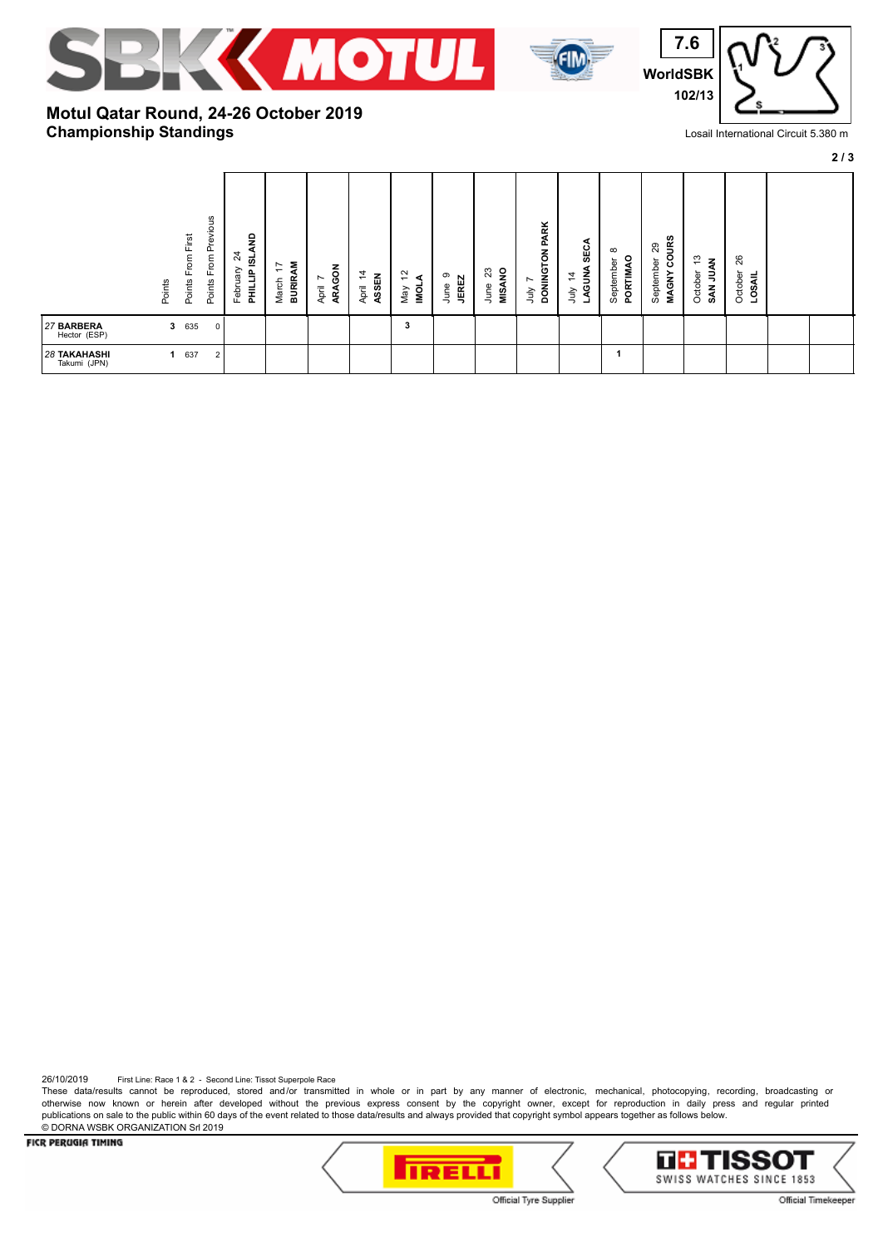





## **Championship Standings Motul Qatar Round, 24-26 October 2019**

Losail International Circuit 5.380 m

**2 / 3**

| Previous<br>Points From First<br>From<br>Points<br>Points         | e<br>24<br><u>ය</u><br>Ę<br>₽<br>February<br>emma<br>Hi<br><b>BURIR</b><br>March | ARAGON<br>$\dot{z}$<br>ASSEN<br>$\overline{ }$<br>April<br>April | 5,<br>∢<br>low<br>Viay | <b>MISANO</b><br>23<br>$\sigma$<br><b>JEREZ</b><br>June<br>June | DONINGTON PARK<br>SECA<br>LAGUNA<br>$\overline{4}$<br>$\sim$<br>λη<br>È | $\infty$<br>PORTIMAO<br>September | <b>COURS</b><br>29<br>September<br><b>MAGNY</b> | ო<br>October<br>$\Rightarrow$<br>SAN | 26<br>October<br><b>LOSAIL</b> |  |
|-------------------------------------------------------------------|----------------------------------------------------------------------------------|------------------------------------------------------------------|------------------------|-----------------------------------------------------------------|-------------------------------------------------------------------------|-----------------------------------|-------------------------------------------------|--------------------------------------|--------------------------------|--|
| 635<br>$\mathbf{3}$<br>27 BARBERA<br>$\mathbf 0$<br>Hector (ESP)  |                                                                                  |                                                                  | 3                      |                                                                 |                                                                         |                                   |                                                 |                                      |                                |  |
| <b>28 TAKAHASHI</b><br>637<br>1<br>$\overline{2}$<br>Takumi (JPN) |                                                                                  |                                                                  |                        |                                                                 |                                                                         |                                   |                                                 |                                      |                                |  |

26/10/2019 First Line: Race 1 & 2 - Second Line: Tissot Superpole Race

These data/results cannot be reproduced, stored and/or transmitted in whole or in part by any manner of electronic, mechanical, photocopying, recording, broadcasting or otherwise now known or herein after developed without the previous express consent by the copyright owner, except for reproduction in daily press and regular printed publications on sale to the public within 60 days of the event related to those data/results and always provided that copyright symbol appears together as follows below. © DORNA WSBK ORGANIZATION Srl 2019

FICR PERUGIA TIMING





Official Tyre Supplier

Official Timekeeper